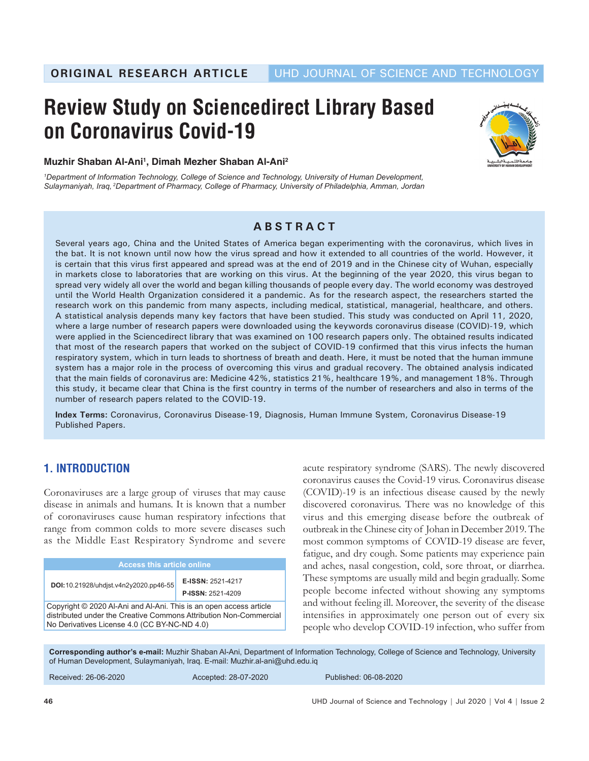# **Review Study on Sciencedirect Library Based on Coronavirus Covid-19**



### **Muzhir Shaban Al-Ani1 , Dimah Mezher Shaban Al-Ani2**

*1 Department of Information Technology, College of Science and Technology, University of Human Development, Sulaymaniyah, Iraq, 2Department of Pharmacy, College of Pharmacy, University of Philadelphia, Amman, Jordan*

## **ABSTRACT**

Several years ago, China and the United States of America began experimenting with the coronavirus, which lives in the bat. It is not known until now how the virus spread and how it extended to all countries of the world. However, it is certain that this virus first appeared and spread was at the end of 2019 and in the Chinese city of Wuhan, especially in markets close to laboratories that are working on this virus. At the beginning of the year 2020, this virus began to spread very widely all over the world and began killing thousands of people every day. The world economy was destroyed until the World Health Organization considered it a pandemic. As for the research aspect, the researchers started the research work on this pandemic from many aspects, including medical, statistical, managerial, healthcare, and others. A statistical analysis depends many key factors that have been studied. This study was conducted on April 11, 2020, where a large number of research papers were downloaded using the keywords coronavirus disease (COVID)-19, which were applied in the Sciencedirect library that was examined on 100 research papers only. The obtained results indicated that most of the research papers that worked on the subject of COVID-19 confirmed that this virus infects the human respiratory system, which in turn leads to shortness of breath and death. Here, it must be noted that the human immune system has a major role in the process of overcoming this virus and gradual recovery. The obtained analysis indicated that the main fields of coronavirus are: Medicine 42%, statistics 21%, healthcare 19%, and management 18%. Through this study, it became clear that China is the first country in terms of the number of researchers and also in terms of the number of research papers related to the COVID-19.

**Index Terms:** Coronavirus, Coronavirus Disease-19, Diagnosis, Human Immune System, Coronavirus Disease-19 Published Papers.

# **1. INTRODUCTION**

Coronaviruses are a large group of viruses that may cause disease in animals and humans. It is known that a number of coronaviruses cause human respiratory infections that range from common colds to more severe diseases such as the Middle East Respiratory Syndrome and severe

| <b>Access this article online</b>                                                                                                                                                       |                                               |
|-----------------------------------------------------------------------------------------------------------------------------------------------------------------------------------------|-----------------------------------------------|
| DOI:10.21928/uhdjst.v4n2y2020.pp46-55                                                                                                                                                   | E-ISSN: 2521-4217<br><b>P-ISSN: 2521-4209</b> |
| Copyright © 2020 Al-Ani and Al-Ani. This is an open access article<br>distributed under the Creative Commons Attribution Non-Commercial<br>No Derivatives License 4.0 (CC BY-NC-ND 4.0) |                                               |

acute respiratory syndrome (SARS). The newly discovered coronavirus causes the Covid-19 virus. Coronavirus disease (COVID)-19 is an infectious disease caused by the newly discovered coronavirus. There was no knowledge of this virus and this emerging disease before the outbreak of outbreak in the Chinese city of Johan in December 2019. The most common symptoms of COVID-19 disease are fever, fatigue, and dry cough. Some patients may experience pain and aches, nasal congestion, cold, sore throat, or diarrhea. These symptoms are usually mild and begin gradually. Some people become infected without showing any symptoms and without feeling ill. Moreover, the severity of the disease intensifies in approximately one person out of every six people who develop COVID-19 infection, who suffer from

**Corresponding author's e-mail:** Muzhir Shaban Al-Ani, Department of Information Technology, College of Science and Technology, University of Human Development, Sulaymaniyah, Iraq. E-mail: Muzhir.al-ani@uhd.edu.iq

Received: 26-06-2020 Accepted: 28-07-2020 Published: 06-08-2020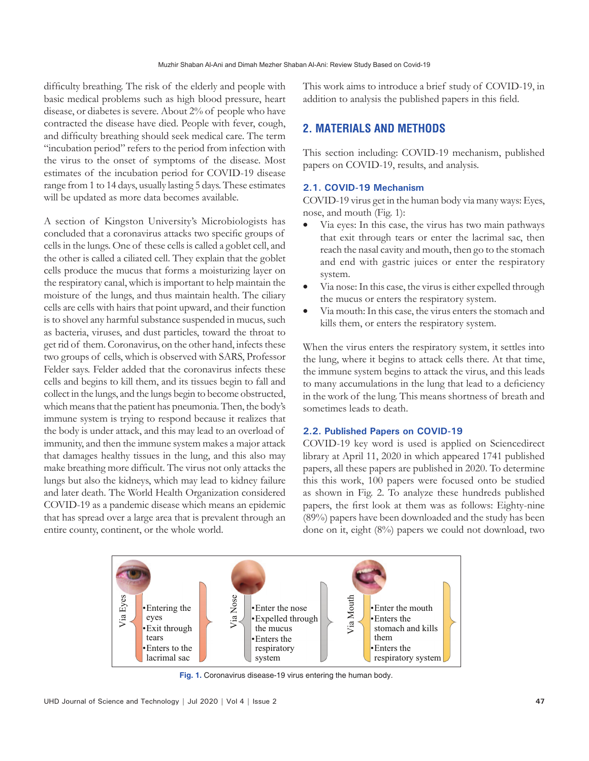difficulty breathing. The risk of the elderly and people with basic medical problems such as high blood pressure, heart disease, or diabetes is severe. About 2% of people who have contracted the disease have died. People with fever, cough, and difficulty breathing should seek medical care. The term "incubation period" refers to the period from infection with the virus to the onset of symptoms of the disease. Most estimates of the incubation period for COVID-19 disease range from 1 to 14 days, usually lasting 5 days. These estimates will be updated as more data becomes available.

A section of Kingston University's Microbiologists has concluded that a coronavirus attacks two specific groups of cells in the lungs. One of these cells is called a goblet cell, and the other is called a ciliated cell. They explain that the goblet cells produce the mucus that forms a moisturizing layer on the respiratory canal, which is important to help maintain the moisture of the lungs, and thus maintain health. The ciliary cells are cells with hairs that point upward, and their function is to shovel any harmful substance suspended in mucus, such as bacteria, viruses, and dust particles, toward the throat to get rid of them. Coronavirus, on the other hand, infects these two groups of cells, which is observed with SARS, Professor Felder says. Felder added that the coronavirus infects these cells and begins to kill them, and its tissues begin to fall and collect in the lungs, and the lungs begin to become obstructed, which means that the patient has pneumonia. Then, the body's immune system is trying to respond because it realizes that the body is under attack, and this may lead to an overload of immunity, and then the immune system makes a major attack that damages healthy tissues in the lung, and this also may make breathing more difficult. The virus not only attacks the lungs but also the kidneys, which may lead to kidney failure and later death. The World Health Organization considered COVID-19 as a pandemic disease which means an epidemic that has spread over a large area that is prevalent through an entire county, continent, or the whole world.

This work aims to introduce a brief study of COVID-19, in addition to analysis the published papers in this field.

# **2. MATERIALS AND METHODS**

This section including: COVID-19 mechanism, published papers on COVID-19, results, and analysis.

#### **2.1. COVID-19 Mechanism**

COVID-19 virus get in the human body via many ways: Eyes, nose, and mouth (Fig. 1):

- Via eyes: In this case, the virus has two main pathways that exit through tears or enter the lacrimal sac, then reach the nasal cavity and mouth, then go to the stomach and end with gastric juices or enter the respiratory system.
- Via nose: In this case, the virus is either expelled through the mucus or enters the respiratory system.
- Via mouth: In this case, the virus enters the stomach and kills them, or enters the respiratory system.

When the virus enters the respiratory system, it settles into the lung, where it begins to attack cells there. At that time, the immune system begins to attack the virus, and this leads to many accumulations in the lung that lead to a deficiency in the work of the lung. This means shortness of breath and sometimes leads to death.

#### **2.2. Published Papers on COVID-19**

COVID-19 key word is used is applied on Sciencedirect library at April 11, 2020 in which appeared 1741 published papers, all these papers are published in 2020. To determine this this work, 100 papers were focused onto be studied as shown in Fig. 2. To analyze these hundreds published papers, the first look at them was as follows: Eighty-nine (89%) papers have been downloaded and the study has been done on it, eight (8%) papers we could not download, two



**Fig. 1.** Coronavirus disease-19 virus entering the human body.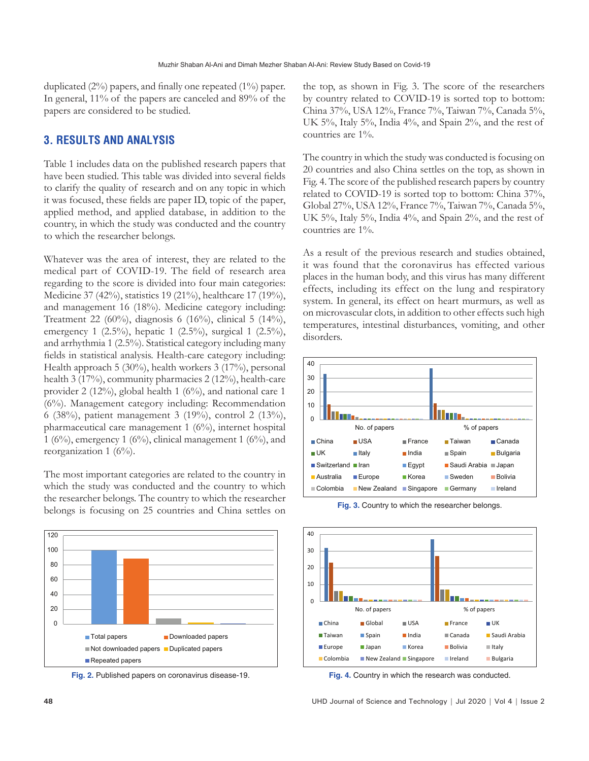duplicated (2%) papers, and finally one repeated (1%) paper. In general, 11% of the papers are canceled and 89% of the papers are considered to be studied.

## **3. RESULTS AND ANALYSIS**

Table 1 includes data on the published research papers that have been studied. This table was divided into several fields to clarify the quality of research and on any topic in which it was focused, these fields are paper ID, topic of the paper, applied method, and applied database, in addition to the country, in which the study was conducted and the country to which the researcher belongs.

Whatever was the area of interest, they are related to the medical part of COVID-19. The field of research area regarding to the score is divided into four main categories: Medicine 37 (42%), statistics 19 (21%), healthcare 17 (19%), and management 16 (18%). Medicine category including: Treatment 22 (60%), diagnosis 6 (16%), clinical 5 (14%), emergency 1 (2.5%), hepatic 1 (2.5%), surgical 1 (2.5%), and arrhythmia 1 (2.5%). Statistical category including many fields in statistical analysis. Health-care category including: Health approach 5 (30%), health workers 3 (17%), personal health 3 (17%), community pharmacies 2 (12%), health-care provider 2 (12%), global health 1 (6%), and national care 1 (6%). Management category including: Recommendation 6 (38%), patient management 3 (19%), control 2 (13%), pharmaceutical care management 1 (6%), internet hospital 1 (6%), emergency 1 (6%), clinical management 1 (6%), and reorganization 1  $(6\%)$ .

The most important categories are related to the country in which the study was conducted and the country to which the researcher belongs. The country to which the researcher belongs is focusing on 25 countries and China settles on



**Fig. 2.** Published papers on coronavirus disease-19.

the top, as shown in Fig. 3. The score of the researchers by country related to COVID-19 is sorted top to bottom: China 37%, USA 12%, France 7%, Taiwan 7%, Canada 5%, UK 5%, Italy 5%, India 4%, and Spain 2%, and the rest of countries are 1%.

The country in which the study was conducted is focusing on 20 countries and also China settles on the top, as shown in Fig. 4. The score of the published research papers by country related to COVID-19 is sorted top to bottom: China 37%, Global 27%, USA 12%, France 7%, Taiwan 7%, Canada 5%, UK 5%, Italy 5%, India 4%, and Spain 2%, and the rest of countries are 1%.

As a result of the previous research and studies obtained, it was found that the coronavirus has effected various places in the human body, and this virus has many different effects, including its effect on the lung and respiratory system. In general, its effect on heart murmurs, as well as on microvascular clots, in addition to other effects such high temperatures, intestinal disturbances, vomiting, and other disorders.



**Fig. 3.** Country to which the researcher belongs.



**Fig. 4.** Country in which the research was conducted.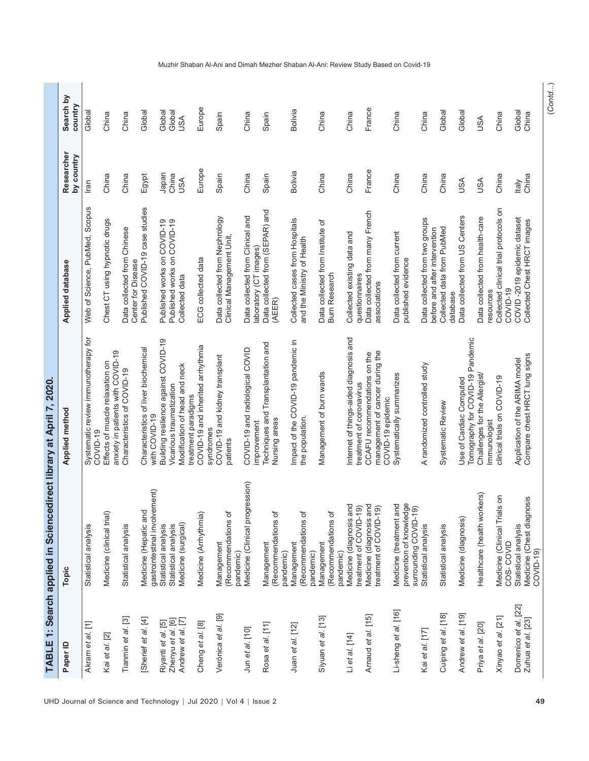| Paper ID                                  | Topic                                                                       | Applied method                                                                       | Applied database                                                | Researcher<br>by country | Search by<br>country |
|-------------------------------------------|-----------------------------------------------------------------------------|--------------------------------------------------------------------------------------|-----------------------------------------------------------------|--------------------------|----------------------|
| Akram et al. [1]                          | Statistical analysis                                                        | Systematic review immunotherapy for<br>COVID-19                                      | Web of Science, PubMed, Scopus                                  | Iran                     | Global               |
| Kai et al. [2]                            | Medicine (clinical trial)                                                   | anxiety in patients with COVID-19<br>Effects of muscle relaxation on                 | Chest CT using hypnotic drugs                                   | China                    | China                |
| Tianmin et al. [3]                        | Statistical analysis                                                        | Characteristics of COVID-19                                                          | Data collected from Chinese<br>Center for Disease               | China                    | China                |
| [Sherief et al. [4]                       | gastrointestinal involvement)<br>Medicine (Hepatic and                      | Characteristics of liver biochemical<br>with COVID-19                                | Published COVID-19 case studies                                 | Egypt                    | Global               |
| Riyanti et al. [5]                        | Statistical analysis                                                        | Building resilience against COVID-19                                                 | Published works on COVID-19                                     | Japan                    | Global               |
| Andrew et al. [7]<br>Zhenyu et al. [6]    | Medicine (surgical)<br>Statistical analysis                                 | Modification of head and neck<br>Vicarious traumatization<br>treatment paradigms     | Published works on COVID-19<br>Collected data                   | China<br>USA             | Global<br><b>USA</b> |
| Cheng et al. [8]                          | Medicine (Arrhythmia)                                                       | COVID-19 and inherited arrhythmia<br>syndromes                                       | ECG collected data                                              | Europe                   | Europe               |
| Verónica et al. [9]                       | (Recommendations of<br>Management                                           | COVID-19 and kidney transplant<br>patients                                           | Data collected from Nephrology<br>Clinical Management Unit,     | Spain                    | Spain                |
| Jun et al. [10]                           | Medicine (Clinical progression)<br>pandemic)                                | COVID-19 and radiological COVID<br>improvement                                       | Data collected from Clinical and<br>laboratory (CT images)      | China                    | China                |
| Rosa et al. [11]                          | (Recommendations of<br>Management<br>pandemic)                              | Techniques and Transplantation and<br>Nursing areas                                  | Data collected from (SEPAR) and<br>(AEER)                       | Spain                    | Spain                |
| Juan et al. [12]                          | (Recommendations of<br>Management<br>pandemic)                              | Impact of the COVID-19 pandemic in<br>the population.                                | Collected cases from Hospitals<br>and the Ministry of Health    | Bolivia                  | <b>Bolivia</b>       |
| Siyuan et al. [13]                        | (Recommendations of<br>Management<br>pandemic)                              | Management of burn wards                                                             | Data collected from Institute of<br><b>Burn Research</b>        | China                    | China                |
| Li et al. [14]                            | Medicine (diagnosis and<br>treatment of COVID-19)                           | Internet of things-aided diagnosis and<br>treatment of coronavirus                   | Collected existing data and<br>questionnaires                   | China                    | China                |
| Arnaud et al. [15]                        | Medicine (diagnosis and<br>treatment of COVID-19)                           | management of cancer during the<br>CCAFU recommendations on the<br>COVID-19 epidemic | Data collected from many French<br>associations                 | France                   | France               |
| Li-sheng et al. [16]                      | prevention of knowledge<br>Medicine (treatment and<br>surrounding COVID-19) | Systematically summarizes                                                            | Data collected from current<br>published evidence               | China                    | China                |
| Kai et al. [17]                           | Statistical analysis                                                        | A randomized controlled study                                                        | Data collected from two groups<br>before and after intervention | China                    | China                |
| Cuiping et al. [18]                       | Statistical analysis                                                        | Systematic Review                                                                    | Collected data from PubMed<br>database                          | China                    | Global               |
| Andrew et al. [19]                        | Medicine (diagnosis)                                                        | Tomography for COVID-19 Pandemic<br>Use of Cardiac Computed                          | Data collected from US Centers                                  | <b>JSA</b>               | Global               |
| Priya et al. [20]                         | Healthcare (health workers)                                                 | Challenges for the Allergist/<br>Immunologist                                        | Data collected from health-care<br>resources                    | <b>JSA</b>               | <b>ASU</b>           |
| Xinyao et al. [21]                        | $\frac{1}{5}$ on<br>Medicine (Clinical Tria<br>COS-COVID                    | clinical trials on COVID-19                                                          | Collected clinical trial protocols on<br>COVID-19               | China                    | China                |
| Domenico et al. [22]<br>Zuhua et al. [23] | iosis<br>Medicine (Chest diagn<br>Statistical analysis<br>COVID-19)         | Compare chest HRCT lung signs<br>Application of the ARIMA model                      | COVID-2019 epidemic dataset<br>Collected Chest HRCT images      | China<br><b>Italy</b>    | Global<br>China      |

(*Contd*...)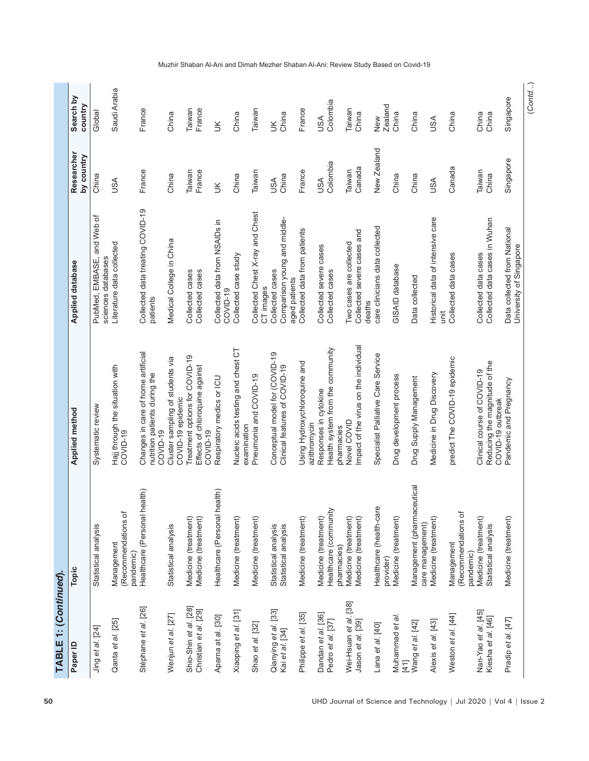| Paper ID                                       | Topic                                                        | <b>Applied method</b>                                                             | <b>Applied database</b>                                          | Researcher<br>by country | Search by<br>country   |
|------------------------------------------------|--------------------------------------------------------------|-----------------------------------------------------------------------------------|------------------------------------------------------------------|--------------------------|------------------------|
| Jing et al. [24]                               | Statistical analysis                                         | Systematic review                                                                 | and Web of<br>PubMed, EMBASE,<br>sciences databases              | China                    | Global                 |
| Qanta et al. [25]                              | (Recommendations of<br>Management<br>pandemic)               | Hajj through the situation with<br>COVID-19                                       | Literature data collected                                        | <b>JSA</b>               | Saudi Arabia           |
| Stéphane et al. [26]                           | health)<br>Healthcare (Personal                              | Changes in care of home artificial<br>nutrition patients during the<br>COVID-19   | Collected data treating COVID-19<br>patients                     | France                   | France                 |
| Wenjun et al. [27]                             | Statistical analysis                                         | Cluster sampling of students via<br>COVID-19 epidemic                             | Medical College in China                                         | China                    | China                  |
| Shio-Shin et al. [28]<br>Christian et al. [29] | Medicine (treatment)<br>Medicine (treatment)                 | Treatment options for COVID-19<br>Effects of chloroquine against<br>COVID-19      | Collected cases<br>Collected cases                               | Taiwan<br>France         | France<br>Taiwan       |
| Aparna at al. [30]                             | health)<br>Healthcare (Personal                              | Respiratory medics or ICU                                                         | Collected data from NSAIDs in<br>COVID-19                        | $\leq$                   | š                      |
| Xiaoping et al. [31]                           | Medicine (treatment)                                         | Nucleic acids testing and chest CT<br>examination                                 | Collected case study                                             | China                    | China                  |
| Shao et al. [32]                               | Medicine (treatment)                                         | Pneumonia and COVID-19                                                            | Collected Chest X-ray and Chest<br>CT images                     | Taiwan                   | Taiwan                 |
| Qianying et al. [33]<br>Kai et al. [34]        | Statistical analysis<br>Statistical analysis                 | Conceptual model for (COVID-19<br>Clinical features of COVID-19                   | Comparison young and middle-<br>Collected cases<br>aged patients | China<br><b>ASU</b>      | China<br>š             |
| Philippe et al. [35]                           | Medicine (treatment)                                         | Using Hydroxychloroquine and<br>azithromycin                                      | Collected data from patients                                     | France                   | France                 |
| Dandan et al. [36]<br>Pedro et al. [37]        | Healthcare (community<br>Medicine (treatment)<br>pharmacies) | Health system from the community<br>Responses in cytokine<br>pharmacies           | Collected severe cases<br>Collected cases                        | Colombia<br><b>ASU</b>   | Colombia<br><b>USA</b> |
| Wei-Hsuan et al. [38]                          | Medicine (treatment)<br>Medicine (treatment)                 | Impact of the virus on the individual<br>Novel COVID                              | Collected severe cases and<br>Two cases are collected            | Taiwan                   | Taiwan<br>China        |
| Jason et al. [39]                              |                                                              |                                                                                   | deaths                                                           | Canada                   |                        |
| Lana et al. [40]                               | Healthcare (health-care<br>provider)                         | Specialist Palliative Care Service                                                | care clinicians data collected                                   | New Zealand              | <b>Zealand</b><br>New  |
| Muhammad et al.<br>$[41]$                      | Medicine (treatment)                                         | Drug development process                                                          | GISAID database                                                  | China                    | China                  |
| Wang et al. [42]                               | Management (pharmaceutical<br>care management)               | Drug Supply Management                                                            | Data collected                                                   | China                    | China                  |
| Alexis et al. [43]                             | Medicine (treatment)                                         | Medicine in Drug Discovery                                                        | Historical data of intensive care<br>ii                          | <b>ASU</b>               | USA                    |
| Weston et al. [44]                             | (Recommendations of<br>Management<br>pandemic)               | predict The COVID-19 epidemic                                                     | Collected data cases                                             | Canada                   | China                  |
| Nan-Yao et al. [45]<br>Kiesha et al. [46]      | Medicine (treatment)<br>Statistical analysis                 | Reducing the magnitude of the<br>Clinical course of COVID-19<br>COVID-19 outbreak | Collected data cases in Wuhan<br>Collected data cases            | Taiwan<br>China          | China<br>China         |
| Pradip et al. [47]                             | Medicine (treatment)                                         | Pandemic and Pregnancy                                                            | Data collected from National<br>University of Singapore          | Singapore                | Singapore              |

(*Contd*...)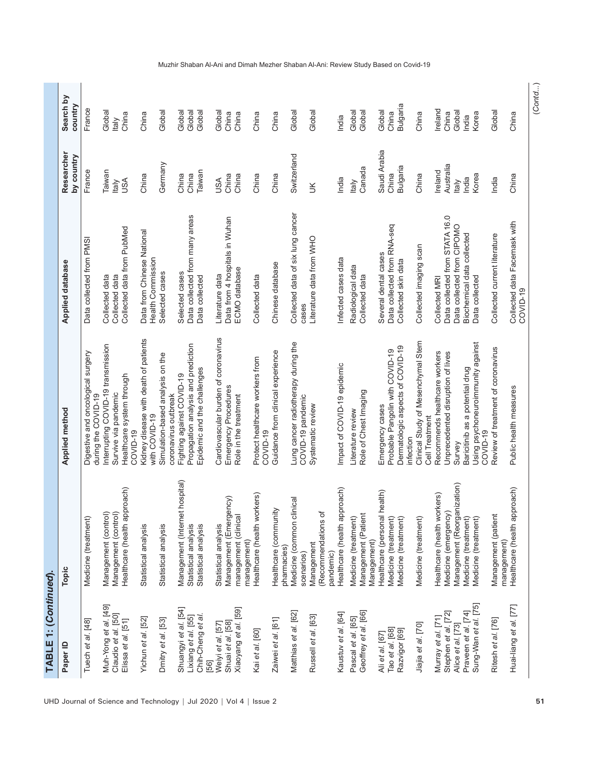| Paper ID                                    |                                                               |                                                                                  |                                                              |                           |                      |
|---------------------------------------------|---------------------------------------------------------------|----------------------------------------------------------------------------------|--------------------------------------------------------------|---------------------------|----------------------|
|                                             | Topic                                                         | <b>Applied method</b>                                                            | Applied database                                             | Researcher<br>by country  | Search by<br>country |
| Tuech et al. [48]                           | Medicine (treatment)                                          | Digestive and oncological surgery<br>during the COVID-19                         | Data collected from PMSI                                     | France                    | France               |
| Muh-Yong et al. [49]                        | Management (control)                                          | nterrupting COVID-19 transmission                                                | Collected data                                               | Taiwan                    | Global               |
| Claudio et al. [50]                         | Management (control)                                          | Survive via pandemic                                                             | Collected data                                               | <b>Italy</b>              | <b>Italy</b>         |
| Elissa et al. [51]                          | Healthcare (health approach)                                  | Healthcare system through<br>COVID-19                                            | Collected data from PubMed                                   | USA                       | China                |
| Yichun et al. [52]                          | Statistical analysis                                          | Kidney disease with death of patients<br>with COVID-19                           | Data from Chinese National<br>Health Commission              | China                     | China                |
| Dmitry et al. [53]                          | Statistical analysis                                          | Simulation-based analysis on the                                                 | Selected cases                                               | Germany                   | Global               |
| Shuangyi et al. [54]                        | hospital)<br>Management (Internet                             | Fighting against COVID-19<br>coronavirus outbreak                                | Selected cases                                               | China                     | Global               |
| Lixiang et al. [55]                         | Statistical analysis                                          | Propagation analysis and prediction                                              | Data collected from many areas                               | China                     | Global               |
| Chih-Cheng et al.<br>[56]                   | Statistical analysis                                          | Epidemic and the challenges                                                      | Data collected                                               | Taiwan                    | Global               |
| Weiyi et al. [57]                           | Statistical analysis                                          | Cardiovascular burden of coronavirus                                             | Literature data                                              | USA                       | Global               |
| Xiaoyang et al. [59]<br>Shuai et al. [58]   | Management (Emergency)<br>management (clinical<br>management) | Emergency Procedures<br>Role in the treatment                                    | Data from 4 hospitals in Wuhan<br>ECMO database              | China<br>China            | China<br>China       |
| Kai et al. [60]                             | Healthcare (health workers)                                   | Protect healthcare workers from<br>COVID-19                                      | Collected data                                               | China                     | China                |
| Zaiwei et al. [61]                          | Healthcare (community<br>pharmacies)                          | Guidance from clinical experience                                                | Chinese database                                             | China                     | China                |
| Matthias et al. [62]                        | Medicine (common clinical                                     | Lung cancer radiotherapy during the                                              | Collected data of six lung cancer                            | Switzerland               | Global               |
|                                             | scenarios)                                                    | COVID-19 pandemic                                                                | cases                                                        |                           |                      |
| Russell et al. [63]                         | (Recommendations of<br>Management<br>pandemic)                | Systematic review                                                                | Literature data from WHO                                     | š                         | Global               |
| Kaustuv et al. [64]                         | Healthcare (health approach)                                  | Impact of COVID-19 epidemic                                                      | Infected cases data                                          | India                     | India                |
| Geoffrey et al. [66]<br>Pascal et al. [65]  | Management (Patient<br>Medicine (treatment)                   | Role of Chest Imaging<br>Literature review                                       | Radiological data<br>Collected data                          | Canada<br><b>Italy</b>    | Global<br>Global     |
|                                             | Management)                                                   |                                                                                  |                                                              |                           |                      |
| Tao et al. [68]<br>Ali et al. [67]          | Healthcare (personal health)<br>Medicine (treatment)          | Probable Pangolin with COVID-19<br>Emergency cases                               | Data collected from RNA-seq<br>Several dental cases          | Saudi Arabia<br>China     | Global<br>China      |
| Razvigor [69]                               | Medicine (treatment)                                          | Dermatologic aspects of COVID-19<br>infection                                    | Collected skin data                                          | <b>Bulgaria</b>           | <b>Bulgaria</b>      |
| Jiajia et al. [70]                          | Medicine (treatment)                                          | Clinical Study of Mesenchymal Stem<br>Cell Treatment                             | Collected imaging scan                                       | China                     | China                |
| Murray et al. [71]                          | Healthcare (health workers)                                   | Recommends healthcare workers                                                    | Collected MRI                                                | Ireland                   | Ireland              |
| Stephen et al. [72]<br>Alice et al. [73]    | Management (Reorganization)<br>Medicine (emergency)           | Unprecedented disruption of lives<br>Survey                                      | Data collected from STATA 16.0<br>Data collected from CIPOMO | Australia<br><b>Italy</b> | Global<br>China      |
| Sung-Wan et al. [75]<br>Praveen et al. [74] | Medicine (treatment)<br>Medicine (treatment)                  | Using psychoneuroimmunity against<br>Baricitinib as a potential drug<br>COVID-19 | Biochemical data collected<br>Data collected                 | Korea<br>India            | Korea<br>India       |
| Ritesh et al. [76]                          | Management (patient                                           | Review of treatment of coronavirus                                               | Collected current literature                                 | India                     | Global               |
| Huai-liang et al. [77]                      | Healthcare (health approach)<br>management)                   | Public health measures                                                           | Collected data Facemask with                                 | China                     | China                |
|                                             |                                                               |                                                                                  | COVID-19                                                     |                           |                      |

#### Muzhir Shaban Al-Ani and Dimah Mezher Shaban Al-Ani: Review Study Based on Covid-19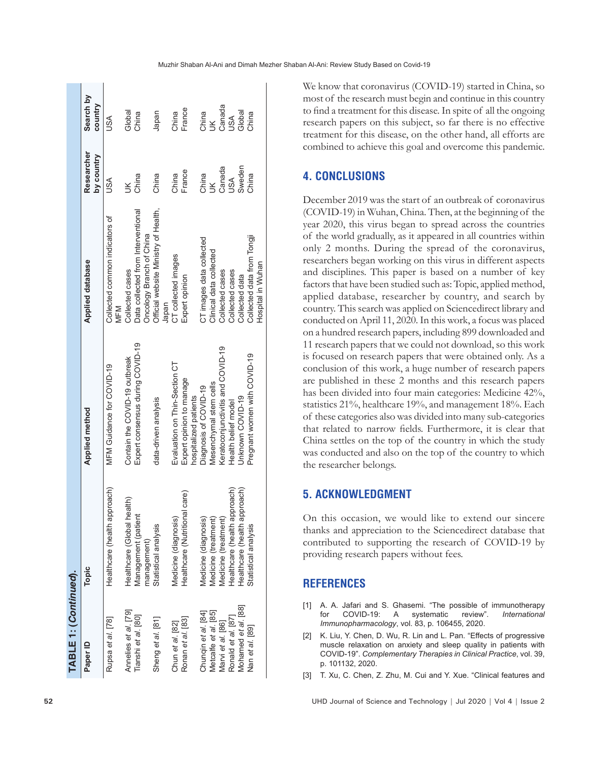| TABLE 1: (Continued). |                               |                                                   |                                       |                          |                      |
|-----------------------|-------------------------------|---------------------------------------------------|---------------------------------------|--------------------------|----------------------|
| Paper ID              | Topic                         | <b>Applied method</b>                             | <b>Applied database</b>               | Researcher<br>by country | Search by<br>country |
| Rupsa et al. [78]     | Healthcare (health approach)  | MFM Guidance for COVID-19                         | Collected common indicators of<br>MFM | USA                      | USA                  |
| Annelies et al. [79]  | Healthcare (Global health)    | Contain the COVID-19 outbreak                     | Collected cases                       | $\breve{\preceq}$        | Global               |
| Tianshi et al. [80]   | Management (patient           | Expert consensus during COVID-19                  | Data collected from Interventional    | China                    | China                |
|                       | management)                   |                                                   | Oncology Branch of China              |                          |                      |
| Sheng et al. [81]     | Statistical analysis          | data-driven analysis                              | Official website Ministry of Health,  | China                    | Japan                |
|                       |                               |                                                   | Japan                                 |                          |                      |
| Chun et al. [82]      | Medicine (diagnosis)          | Evaluation on Thin-Section CT                     | CT collected images                   | China                    | China                |
| Ronan et al. [83]     | Healthcare (Nutritional care) | Expert opinion to manage<br>hospitalized patients | Expert opinion                        | France                   | France               |
| Chunqin et al. [84]   | Medicine (diagnosis)          | Diagnosis of COVID-19                             | CT images data collected              |                          | China                |
| Metcalfe et al. [85]  | Medicine (treatment)          | Mesenchymal stem cells                            | Clinical data collected               | China<br>UK              | $\leq$               |
| Marvi et al. [86]     | Medicine (treatment)          | Keratoconjunctivitis and COVID-19                 | Collected cases                       | Canada<br>USA            |                      |
| Ronald et al. [87]    | Healthcare (health approach)  | Health belief model                               | Collected cases                       |                          | Canada<br>USA        |
| Mohamed et al. [88]   | Healthcare (health approach)  | Unknown COVID-19                                  | Collected data                        | Sweden                   | Global               |
| Nan et al. [89]       | Statistical analysis          | Pregnant women with COVID-19                      | Collected data from Tongji            | China                    | China                |
|                       |                               |                                                   | Hospital in Wuhan                     |                          |                      |

We know that coronavirus (COVID-19) started in China, so most of the research must begin and continue in this country to find a treatment for this disease. In spite of all the ongoing research papers on this subject, so far there is no effective treatment for this disease, on the other hand, all efforts are combined to achieve this goal and overcome this pandemic.

# **4. CONCLUSIONS**

December 2019 was the start of an outbreak of coronavirus (COVID-19) in Wuhan, China. Then, at the beginning of the year 2020, this virus began to spread across the countries of the world gradually, as it appeared in all countries within only 2 months. During the spread of the coronavirus, researchers began working on this virus in different aspects and disciplines. This paper is based on a number of key factors that have been studied such as: Topic, applied method, applied database, researcher by country, and search by country. This search was applied on Sciencedirect library and conducted on April 11, 2020. In this work, a focus was placed on a hundred research papers, including 899 downloaded and 11 research papers that we could not download, so this work is focused on research papers that were obtained only. As a conclusion of this work, a huge number of research papers are published in these 2 months and this research papers has been divided into four main categories: Medicine 42%, statistics 21%, healthcare 19%, and management 18%. Each of these categories also was divided into many sub-categories that related to narrow fields. Furthermore, it is clear that China settles on the top of the country in which the study was conducted and also on the top of the country to which the researcher belongs.

# **5. ACKNOWLEDGMENT**

On this occasion, we would like to extend our sincere thanks and appreciation to the Sciencedirect database that contributed to supporting the research of COVID-19 by providing research papers without fees.

# **REFERENCES**

- [1] A. A. Jafari and S. Ghasemi. "The possible of immunotherapy for COVID-19: A systematic review". *International Immunopharmacology*, vol. 83, p. 106455, 2020.
- [2] K. Liu, Y. Chen, D. Wu, R. Lin and L. Pan. "Effects of progressive muscle relaxation on anxiety and sleep quality in patients with COVID-19". *Complementary Therapies in Clinical Practice*, vol. 39, p. 101132, 2020.
- [3] T. Xu, C. Chen, Z. Zhu, M. Cui and Y. Xue. "Clinical features and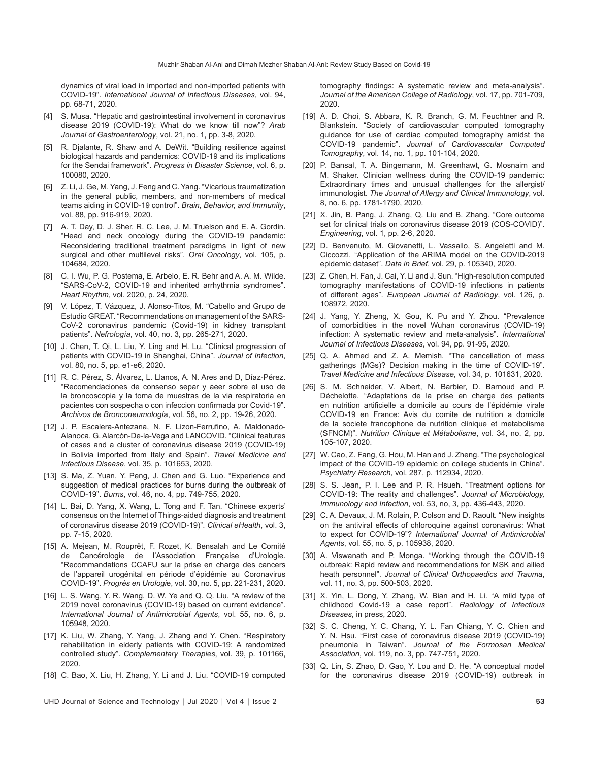dynamics of viral load in imported and non-imported patients with COVID-19". *International Journal of Infectious Diseases*, vol. 94, pp. 68-71, 2020.

- [4] S. Musa. "Hepatic and gastrointestinal involvement in coronavirus disease 2019 (COVID-19): What do we know till now"? *Arab Journal of Gastroenterology*, vol. 21, no. 1, pp. 3-8, 2020.
- [5] R. Djalante, R. Shaw and A. DeWit. "Building resilience against biological hazards and pandemics: COVID-19 and its implications for the Sendai framework". *Progress in Disaster Science*, vol. 6, p. 100080, 2020.
- [6] Z. Li, J. Ge, M. Yang, J. Feng and C. Yang. "Vicarious traumatization in the general public, members, and non-members of medical teams aiding in COVID-19 control". *Brain, Behavior, and Immunity*, vol. 88, pp. 916-919, 2020.
- [7] A. T. Day, D. J. Sher, R. C. Lee, J. M. Truelson and E. A. Gordin. "Head and neck oncology during the COVID-19 pandemic: Reconsidering traditional treatment paradigms in light of new surgical and other multilevel risks". *Oral Oncology*, vol. 105, p. 104684, 2020.
- [8] C. I. Wu, P. G. Postema, E. Arbelo, E. R. Behr and A. A. M. Wilde. "SARS-CoV-2, COVID-19 and inherited arrhythmia syndromes". *Heart Rhythm*, vol. 2020, p. 24, 2020.
- [9] V. López, T. Vázquez, J. Alonso-Titos, M. "Cabello and Grupo de Estudio GREAT. "Recommendations on management of the SARS-CoV-2 coronavirus pandemic (Covid-19) in kidney transplant patients". *Nefrología*, vol. 40, no. 3, pp. 265-271, 2020.
- [10] J. Chen, T. Qi, L. Liu, Y. Ling and H. Lu. "Clinical progression of patients with COVID-19 in Shanghai, China". *Journal of Infection*, vol. 80, no. 5, pp. e1-e6, 2020.
- [11] R. C. Pérez, S. Álvarez, L. Llanos, A. N. Ares and D. Díaz-Pérez. "Recomendaciones de consenso separ y aeer sobre el uso de la broncoscopia y la toma de muestras de la via respiratoria en pacientes con sospecha o con infeccion confirmada por Covid-19". *Archivos de Bronconeumologí*a, vol. 56, no. 2, pp. 19-26, 2020.
- [12] J. P. Escalera-Antezana, N. F. Lizon-Ferrufino, A. Maldonado-Alanoca, G. Alarcón-De-la-Vega and LANCOVID. "Clinical features of cases and a cluster of coronavirus disease 2019 (COVID-19) in Bolivia imported from Italy and Spain". *Travel Medicine and Infectious Disease*, vol. 35, p. 101653, 2020.
- [13] S. Ma, Z. Yuan, Y. Peng, J. Chen and G. Luo. "Experience and suggestion of medical practices for burns during the outbreak of COVID-19". *Burns*, vol. 46, no. 4, pp. 749-755, 2020.
- [14] L. Bai, D. Yang, X. Wang, L. Tong and F. Tan. "Chinese experts' consensus on the Internet of Things-aided diagnosis and treatment of coronavirus disease 2019 (COVID-19)". *Clinical eHealth*, vol. 3, pp. 7-15, 2020.
- [15] A. Mejean, M. Rouprêt, F. Rozet, K. Bensalah and Le Comité de Cancérologie de l'Association Française d'Urologie. "Recommandations CCAFU sur la prise en charge des cancers de l'appareil urogénital en période d'épidémie au Coronavirus COVID-19". *Progrès en Urologi*e, vol. 30, no. 5, pp. 221-231, 2020.
- [16] L. S. Wang, Y. R. Wang, D. W. Ye and Q. Q. Liu. "A review of the 2019 novel coronavirus (COVID-19) based on current evidence". *International Journal of Antimicrobial Agents*, vol. 55, no. 6, p. 105948, 2020.
- [17] K. Liu, W. Zhang, Y. Yang, J. Zhang and Y. Chen. "Respiratory rehabilitation in elderly patients with COVID-19: A randomized controlled study". *Complementary Therapies*, vol. 39, p. 101166, 2020.
- [18] C. Bao, X. Liu, H. Zhang, Y. Li and J. Liu. "COVID-19 computed
- UHD Journal of Science and Technology | Jul 2020 | Vol 4 | Issue 2 **53**

tomography findings: A systematic review and meta-analysis". *Journal of the American College of Radiology*, vol. 17, pp. 701-709, 2020.

- [19] A. D. Choi, S. Abbara, K. R. Branch, G. M. Feuchtner and R. Blankstein. "Society of cardiovascular computed tomography guidance for use of cardiac computed tomography amidst the COVID-19 pandemic". *Journal of Cardiovascular Computed Tomography*, vol. 14, no. 1, pp. 101-104, 2020.
- [20] P. Bansal, T. A. Bingemann, M. Greenhawt, G. Mosnaim and M. Shaker. Clinician wellness during the COVID-19 pandemic: Extraordinary times and unusual challenges for the allergist/ immunologist. *The Journal of Allergy and Clinical Immunology*, vol. 8, no. 6, pp. 1781-1790, 2020.
- [21] X. Jin, B. Pang, J. Zhang, Q. Liu and B. Zhang. "Core outcome set for clinical trials on coronavirus disease 2019 (COS-COVID)". *Engineering*, vol. 1, pp. 2-6, 2020.
- [22] D. Benvenuto, M. Giovanetti, L. Vassallo, S. Angeletti and M. Ciccozzi. "Application of the ARIMA model on the COVID-2019 epidemic dataset". *Data in Brief*, vol. 29, p. 105340, 2020.
- [23] Z. Chen, H. Fan, J. Cai, Y. Li and J. Sun. "High-resolution computed tomography manifestations of COVID-19 infections in patients of different ages". *European Journal of Radiology*, vol. 126, p. 108972, 2020.
- [24] J. Yang, Y. Zheng, X. Gou, K. Pu and Y. Zhou. "Prevalence of comorbidities in the novel Wuhan coronavirus (COVID-19) infection: A systematic review and meta-analysis". *International Journal of Infectious Diseases*, vol. 94, pp. 91-95, 2020.
- [25] Q. A. Ahmed and Z. A. Memish. "The cancellation of mass gatherings (MGs)? Decision making in the time of COVID-19". *Travel Medicine and Infectious Disease*, vol. 34, p. 101631, 2020.
- [26] S. M. Schneider, V. Albert, N. Barbier, D. Barnoud and P. Déchelotte. "Adaptations de la prise en charge des patients en nutrition artificielle a domicile au cours de l'épidémie virale COVID-19 en France: Avis du comite de nutrition a domicile de la societe francophone de nutrition clinique et metabolisme (SFNCM)". *Nutrition Clinique et Métabolism*e, vol. 34, no. 2, pp. 105-107, 2020.
- [27] W. Cao, Z. Fang, G. Hou, M. Han and J. Zheng. "The psychological impact of the COVID-19 epidemic on college students in China". *Psychiatry Research*, vol. 287, p. 112934, 2020.
- [28] S. S. Jean, P. I. Lee and P. R. Hsueh. "Treatment options for COVID-19: The reality and challenges". *Journal of Microbiology, Immunology and Infection*, vol. 53, no, 3, pp. 436-443, 2020.
- [29] C. A. Devaux, J. M. Rolain, P. Colson and D. Raoult. "New insights on the antiviral effects of chloroquine against coronavirus: What to expect for COVID-19"? *International Journal of Antimicrobial Agents*, vol. 55, no. 5, p. 105938, 2020.
- [30] A. Viswanath and P. Monga. "Working through the COVID-19 outbreak: Rapid review and recommendations for MSK and allied heath personnel". *Journal of Clinical Orthopaedics and Trauma*, vol. 11, no. 3, pp. 500-503, 2020.
- [31] X. Yin, L. Dong, Y. Zhang, W. Bian and H. Li. "A mild type of childhood Covid-19 a case report". *Radiology of Infectious Diseases*, in press, 2020.
- [32] S. C. Cheng, Y. C. Chang, Y. L. Fan Chiang, Y. C. Chien and Y. N. Hsu. "First case of coronavirus disease 2019 (COVID-19) pneumonia in Taiwan". *Journal of the Formosan Medical Association*, vol. 119, no. 3, pp. 747-751, 2020.
- [33] Q. Lin, S. Zhao, D. Gao, Y. Lou and D. He. "A conceptual model for the coronavirus disease 2019 (COVID-19) outbreak in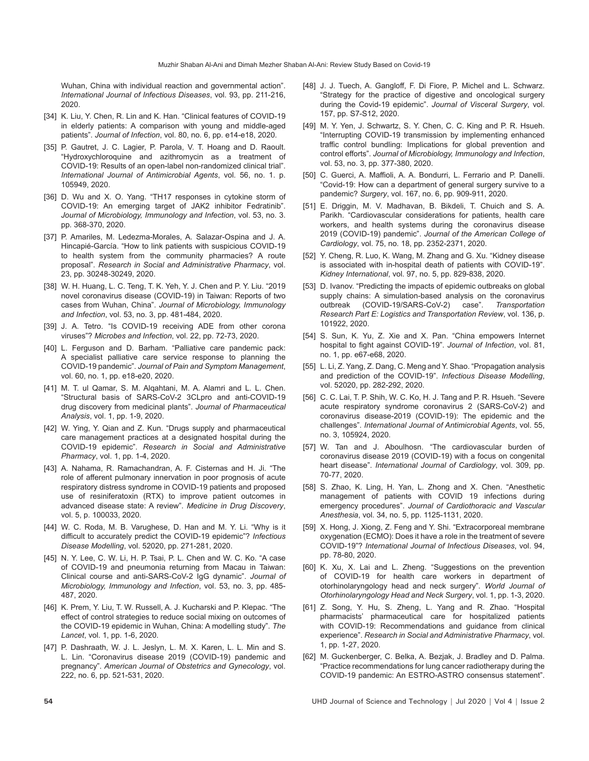Wuhan, China with individual reaction and governmental action". *International Journal of Infectious Diseases*, vol. 93, pp. 211-216, 2020.

- [34] K. Liu, Y. Chen, R. Lin and K. Han. "Clinical features of COVID-19 in elderly patients: A comparison with young and middle-aged patients". *Journal of Infection*, vol. 80, no. 6, pp. e14-e18, 2020.
- [35] P. Gautret, J. C. Lagier, P. Parola, V. T. Hoang and D. Raoult. "Hydroxychloroquine and azithromycin as a treatment of COVID-19: Results of an open-label non-randomized clinical trial". *International Journal of Antimicrobial Agents*, vol. 56, no. 1. p. 105949, 2020.
- [36] D. Wu and X. O. Yang. "TH17 responses in cytokine storm of COVID-19: An emerging target of JAK2 inhibitor Fedratinib". *Journal of Microbiology, Immunology and Infection*, vol. 53, no. 3. pp. 368-370, 2020.
- [37] P. Amariles, M. Ledezma-Morales, A. Salazar-Ospina and J. A. Hincapié-García. "How to link patients with suspicious COVID-19 to health system from the community pharmacies? A route proposal". *Research in Social and Administrative Pharmacy*, vol. 23, pp. 30248-30249, 2020.
- [38] W. H. Huang, L. C. Teng, T. K. Yeh, Y. J. Chen and P. Y. Liu. "2019 novel coronavirus disease (COVID-19) in Taiwan: Reports of two cases from Wuhan, China". *Journal of Microbiology, Immunology and Infection*, vol. 53, no. 3, pp. 481-484, 2020.
- [39] J. A. Tetro. "Is COVID-19 receiving ADE from other corona viruses"? *Microbes and Infection*, vol. 22, pp. 72-73, 2020.
- [40] L. Ferguson and D. Barham. "Palliative care pandemic pack: A specialist palliative care service response to planning the COVID-19 pandemic". *Journal of Pain and Symptom Management*, vol. 60, no. 1, pp. e18-e20, 2020.
- [41] M. T. ul Qamar, S. M. Alqahtani, M. A. Alamri and L. L. Chen. "Structural basis of SARS-CoV-2 3CLpro and anti-COVID-19 drug discovery from medicinal plants". *Journal of Pharmaceutical Analysis*, vol. 1, pp. 1-9, 2020.
- [42] W. Ying, Y. Qian and Z. Kun. "Drugs supply and pharmaceutical care management practices at a designated hospital during the COVID-19 epidemic". *Research in Social and Administrative Pharmacy*, vol. 1, pp. 1-4, 2020.
- [43] A. Nahama, R. Ramachandran, A. F. Cisternas and H. Ji. "The role of afferent pulmonary innervation in poor prognosis of acute respiratory distress syndrome in COVID-19 patients and proposed use of resiniferatoxin (RTX) to improve patient outcomes in advanced disease state: A review". *Medicine in Drug Discovery*, vol. 5, p. 100033, 2020.
- [44] W. C. Roda, M. B. Varughese, D. Han and M. Y. Li. "Why is it difficult to accurately predict the COVID-19 epidemic"? *Infectious Disease Modelling*, vol. 52020, pp. 271-281, 2020.
- [45] N. Y. Lee, C. W. Li, H. P. Tsai, P. L. Chen and W. C. Ko. "A case of COVID-19 and pneumonia returning from Macau in Taiwan: Clinical course and anti-SARS-CoV-2 IgG dynamic". *Journal of Microbiology, Immunology and Infection*, vol. 53, no. 3, pp. 485- 487, 2020.
- [46] K. Prem, Y. Liu, T. W. Russell, A. J. Kucharski and P. Klepac. "The effect of control strategies to reduce social mixing on outcomes of the COVID-19 epidemic in Wuhan, China: A modelling study". *The Lancet*, vol. 1, pp. 1-6, 2020.
- [47] P. Dashraath, W. J. L. Jeslyn, L. M. X. Karen, L. L. Min and S. L. Lin. "Coronavirus disease 2019 (COVID-19) pandemic and pregnancy". *American Journal of Obstetrics and Gynecology*, vol. 222, no. 6, pp. 521-531, 2020.
- [48] J. J. Tuech, A. Gangloff, F. Di Fiore, P. Michel and L. Schwarz. "Strategy for the practice of digestive and oncological surgery during the Covid-19 epidemic". *Journal of Visceral Surgery*, vol. 157, pp. S7-S12, 2020.
- [49] M. Y. Yen, J. Schwartz, S. Y. Chen, C. C. King and P. R. Hsueh. "Interrupting COVID-19 transmission by implementing enhanced traffic control bundling: Implications for global prevention and control efforts". *Journal of Microbiology, Immunology and Infection*, vol. 53, no. 3, pp. 377-380, 2020.
- [50] C. Guerci, A. Maffioli, A. A. Bondurri, L. Ferrario and P. Danelli. "Covid-19: How can a department of general surgery survive to a pandemic? *Surgery*, vol. 167, no. 6, pp. 909-911, 2020.
- [51] E. Driggin, M. V. Madhavan, B. Bikdeli, T. Chuich and S. A. Parikh. "Cardiovascular considerations for patients, health care workers, and health systems during the coronavirus disease 2019 (COVID-19) pandemic". *Journal of the American College of Cardiology*, vol. 75, no. 18, pp. 2352-2371, 2020.
- [52] Y. Cheng, R. Luo, K. Wang, M. Zhang and G. Xu. "Kidney disease is associated with in-hospital death of patients with COVID-19". *Kidney International*, vol. 97, no. 5, pp. 829-838, 2020.
- [53] D. Ivanov. "Predicting the impacts of epidemic outbreaks on global supply chains: A simulation-based analysis on the coronavirus outbreak (COVID-19/SARS-CoV-2) case". *Transportation Research Part E: Logistics and Transportation Review*, vol. 136, p. 101922, 2020.
- [54] S. Sun, K. Yu, Z. Xie and X. Pan. "China empowers Internet hospital to fight against COVID-19". *Journal of Infection*, vol. 81, no. 1, pp. e67-e68, 2020.
- [55] L. Li, Z. Yang, Z. Dang, C. Meng and Y. Shao. "Propagation analysis and prediction of the COVID-19". *Infectious Disease Modelling*, vol. 52020, pp. 282-292, 2020.
- [56] C. C. Lai, T. P. Shih, W. C. Ko, H. J. Tang and P. R. Hsueh. "Severe acute respiratory syndrome coronavirus 2 (SARS-CoV-2) and coronavirus disease-2019 (COVID-19): The epidemic and the challenges". *International Journal of Antimicrobial Agents*, vol. 55, no. 3, 105924, 2020.
- [57] W. Tan and J. Aboulhosn. "The cardiovascular burden of coronavirus disease 2019 (COVID-19) with a focus on congenital heart disease". *International Journal of Cardiology*, vol. 309, pp. 70-77, 2020.
- [58] S. Zhao, K. Ling, H. Yan, L. Zhong and X. Chen. "Anesthetic management of patients with COVID 19 infections during emergency procedures". *Journal of Cardiothoracic and Vascular Anesthesia*, vol. 34, no. 5, pp. 1125-1131, 2020.
- [59] X. Hong, J. Xiong, Z. Feng and Y. Shi. "Extracorporeal membrane oxygenation (ECMO): Does it have a role in the treatment of severe COVID-19"? *International Journal of Infectious Diseases*, vol. 94, pp. 78-80, 2020.
- [60] K. Xu, X. Lai and L. Zheng. "Suggestions on the prevention of COVID-19 for health care workers in department of otorhinolaryngology head and neck surgery". *World Journal of Otorhinolaryngology Head and Neck Surgery*, vol. 1, pp. 1-3, 2020.
- [61] Z. Song, Y. Hu, S. Zheng, L. Yang and R. Zhao. "Hospital pharmacists' pharmaceutical care for hospitalized patients with COVID-19: Recommendations and quidance from clinical experience". *Research in Social and Administrative Pharmacy*, vol. 1, pp. 1-27, 2020.
- [62] M. Guckenberger, C. Belka, A. Bezjak, J. Bradley and D. Palma. "Practice recommendations for lung cancer radiotherapy during the COVID-19 pandemic: An ESTRO-ASTRO consensus statement".